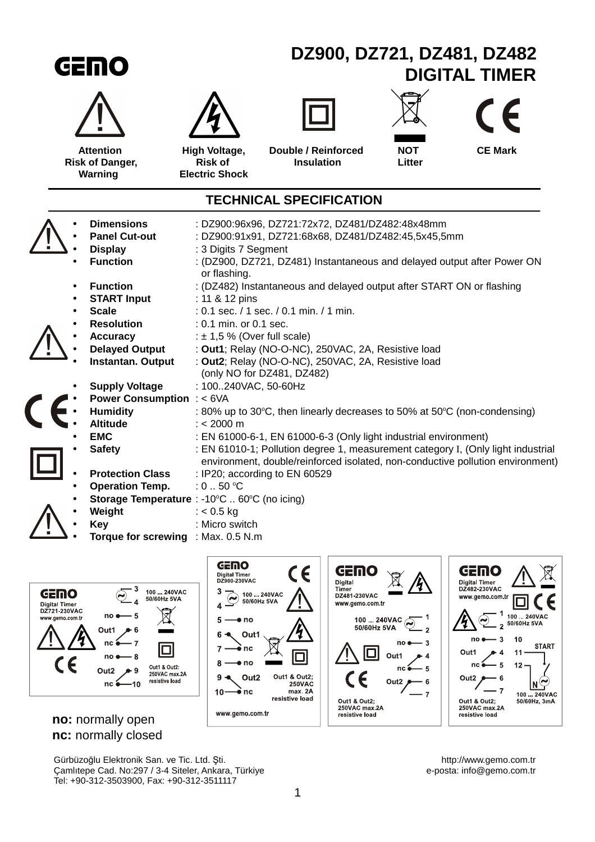| GEMO                                                  |                                                                                                                                                                                                                                                                                                                                                                                                                                                                                                                                                                                                                                                                                                                                                                                                                                                                                                          |                                                                       | DZ900, DZ721, DZ481, DZ482<br><b>DIGITAL TIMER</b>                                                                                                                                                                                                                                                                                                   |                      |                |  |
|-------------------------------------------------------|----------------------------------------------------------------------------------------------------------------------------------------------------------------------------------------------------------------------------------------------------------------------------------------------------------------------------------------------------------------------------------------------------------------------------------------------------------------------------------------------------------------------------------------------------------------------------------------------------------------------------------------------------------------------------------------------------------------------------------------------------------------------------------------------------------------------------------------------------------------------------------------------------------|-----------------------------------------------------------------------|------------------------------------------------------------------------------------------------------------------------------------------------------------------------------------------------------------------------------------------------------------------------------------------------------------------------------------------------------|----------------------|----------------|--|
|                                                       |                                                                                                                                                                                                                                                                                                                                                                                                                                                                                                                                                                                                                                                                                                                                                                                                                                                                                                          |                                                                       |                                                                                                                                                                                                                                                                                                                                                      |                      | $\epsilon$     |  |
| <b>Attention</b><br><b>Risk of Danger,</b><br>Warning |                                                                                                                                                                                                                                                                                                                                                                                                                                                                                                                                                                                                                                                                                                                                                                                                                                                                                                          | High Voltage,<br><b>Risk of</b><br><b>Electric Shock</b>              | Double / Reinforced<br><b>Insulation</b>                                                                                                                                                                                                                                                                                                             | <b>NOT</b><br>Litter | <b>CE Mark</b> |  |
| <b>TECHNICAL SPECIFICATION</b>                        |                                                                                                                                                                                                                                                                                                                                                                                                                                                                                                                                                                                                                                                                                                                                                                                                                                                                                                          |                                                                       |                                                                                                                                                                                                                                                                                                                                                      |                      |                |  |
|                                                       | <b>Dimensions</b><br>: DZ900:96x96, DZ721:72x72, DZ481/DZ482:48x48mm<br><b>Panel Cut-out</b><br>: DZ900:91x91, DZ721:68x68, DZ481/DZ482:45,5x45,5mm<br><b>Display</b><br>: 3 Digits 7 Segment<br><b>Function</b><br>: (DZ900, DZ721, DZ481) Instantaneous and delayed output after Power ON<br>or flashing.<br><b>Function</b><br>: (DZ482) Instantaneous and delayed output after START ON or flashing<br><b>START Input</b><br>: 11 & 12 pins<br><b>Scale</b><br>: 0.1 sec. / 1 sec. / 0.1 min. / 1 min.<br><b>Resolution</b><br>: 0.1 min. or 0.1 sec.<br><b>Accuracy</b><br>: $\pm$ 1,5 % (Over full scale)<br><b>Delayed Output</b><br>: Out1; Relay (NO-O-NC), 250VAC, 2A, Resistive load<br>: Out2; Relay (NO-O-NC), 250VAC, 2A, Resistive load<br><b>Instantan. Output</b><br>(only NO for DZ481, DZ482)<br><b>Supply Voltage</b><br>: 100240VAC, 50-60Hz<br><b>Power Consumption : &lt; 6VA</b> |                                                                       |                                                                                                                                                                                                                                                                                                                                                      |                      |                |  |
| <b>EMC</b><br><b>Key</b>                              | <b>Humidity</b><br><b>Altitude</b><br><b>Safety</b><br><b>Protection Class</b><br><b>Operation Temp.</b><br>Storage Temperature : -10°C  60°C (no icing)<br>Weight<br>Torque for screwing : Max. 0.5 N.m                                                                                                                                                                                                                                                                                                                                                                                                                                                                                                                                                                                                                                                                                                 | $: < 2000 \text{ m}$<br>: $0.50$ °C<br>$: < 0.5$ kg<br>: Micro switch | : 80% up to 30°C, then linearly decreases to 50% at 50°C (non-condensing)<br>: EN 61000-6-1, EN 61000-6-3 (Only light industrial environment)<br>: EN 61010-1; Pollution degree 1, measurement category I, (Only light industrial<br>environment, double/reinforced isolated, non-conductive pollution environment)<br>: IP20; according to EN 60529 |                      |                |  |



## **no:** normally open **nc:** normally closed

Gürbüzoğlu Elektronik San. ve Tic. Ltd. Şti.<br>
Camlıtepe Cad. No:297 / 3-4 Siteler, Ankara, Türkiye<br>
e-posta: info@gemo.com.tr Çamlıtepe Cad. No:297 / 3-4 Siteler, Ankara, Türkiye e-posta: info@gemo.com.tr Tel: +90-312-3503900, Fax: +90-312-3511117

GEMO

Digital Timer<br>DZ482-230VAC

www.gemo.com.tr

 $\bm{\Theta}$ Ч

no e

nc é

Out1 & Out2;<br>250VAC max.2A

resistive load

Out1

Out<sub>2</sub>

1

 $\overline{2}$ 

 $\overline{\mathbf{3}}$ 

 $\bullet$  4  $11$ 

 $-5$  $12$ 

 $\cdot$  6

 $\cdot$  7

 $\epsilon$ 

**START** 

 $\underbrace{N}_{100...240 \text{VAC}}^{100...240 \text{VAC}}$ 

 $\Box$ 

 $10$ 

100 240VAC<br>50/60Hz 5VA

 $\epsilon$ 

1

0

Out1 & Out2;<br>250VAC<br>max. 2A

resistive load

GEMO

Digital<br>Timer<br>DZ481-230VAC

www.gemo.com.tr

 $100 - 240$ VAC  $\odot$ 

no (

 $nc$ 

Out1

Out<sub>2</sub>

50/60Hz 5VA

 $\Box$ 

 $\epsilon$ 

Out1 & Out2;<br>250VAC max.2A<br>resistive load

৻

 $\overline{1}$ 

 $\overline{2}$ 

 $\overline{\mathbf{3}}$ 

5

 $\bf 6$ 

 $\overline{7}$ 

 $\bullet$  4

GEMO

 $\widehat{\bm{\varsigma}}$ 

3

 $\overline{\mathbf{4}}$ 

 $5\phantom{a}$ 

 $6\phantom{1}6$ 

 $\overline{7}$ 

8

 $10 -$ 

 $9 -$ 

Digital Timer<br>DZ900-230VAC

 $\bullet$  no

Out1

≩ nc

 $\bullet$  no

⊕`nc

www.gemo.com.tr

Out<sub>2</sub>

 $\bigcirc$  100 ... 240VAC<br>50/60Hz 5VA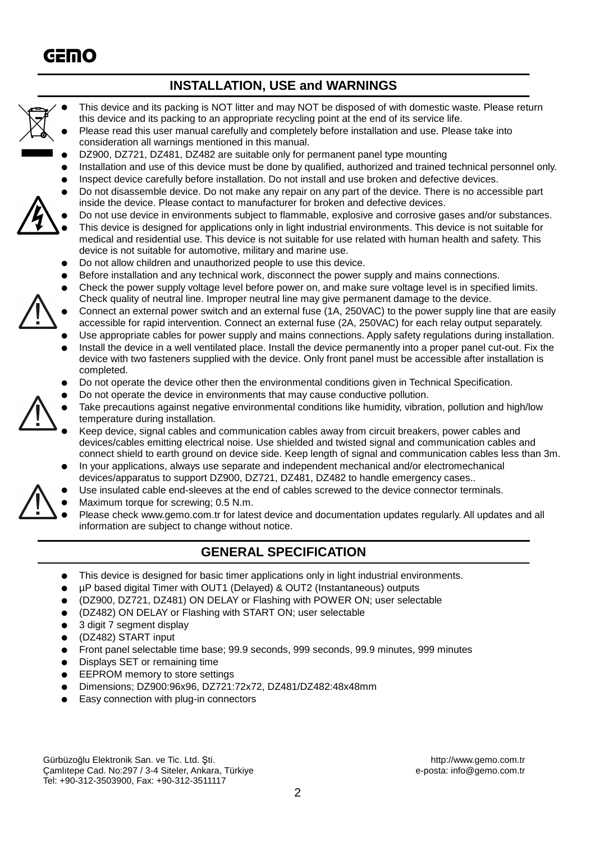## **INSTALLATION, USE and WARNINGS**

- This device and its packing is NOT litter and may NOT be disposed of with domestic waste. Please return this device and its packing to an appropriate recycling point at the end of its service life.
- Please read this user manual carefully and completely before installation and use. Please take into consideration all warnings mentioned in this manual.
- DZ900, DZ721, DZ481, DZ482 are suitable only for permanent panel type mounting
- Installation and use of this device must be done by qualified, authorized and trained technical personnel only.
- Inspect device carefully before installation. Do not install and use broken and defective devices.
- Do not disassemble device. Do not make any repair on any part of the device. There is no accessible part inside the device. Please contact to manufacturer for broken and defective devices.
	- Do not use device in environments subject to flammable, explosive and corrosive gases and/or substances. This device is designed for applications only in light industrial environments. This device is not suitable for medical and residential use. This device is not suitable for use related with human health and safety. This device is not suitable for automotive, military and marine use.
- Do not allow children and unauthorized people to use this device.
- Before installation and any technical work, disconnect the power supply and mains connections.
- Check the power supply voltage level before power on, and make sure voltage level is in specified limits. Check quality of neutral line. Improper neutral line may give permanent damage to the device.
- Connect an external power switch and an external fuse (1A, 250VAC) to the power supply line that are easily accessible for rapid intervention. Connect an external fuse (2A, 250VAC) for each relay output separately.
- Use appropriate cables for power supply and mains connections. Apply safety regulations during installation.
- Install the device in a well ventilated place. Install the device permanently into a proper panel cut-out. Fix the device with two fasteners supplied with the device. Only front panel must be accessible after installation is completed.
- Do not operate the device other then the environmental conditions given in Technical Specification.
- Do not operate the device in environments that may cause conductive pollution.
- Take precautions against negative environmental conditions like humidity, vibration, pollution and high/low temperature during installation.
- Keep device, signal cables and communication cables away from circuit breakers, power cables and devices/cables emitting electrical noise. Use shielded and twisted signal and communication cables and connect shield to earth ground on device side. Keep length of signal and communication cables less than 3m.
- In your applications, always use separate and independent mechanical and/or electromechanical devices/apparatus to support DZ900, DZ721, DZ481, DZ482 to handle emergency cases..
- Use insulated cable end-sleeves at the end of cables screwed to the device connector terminals.
- Maximum torque for screwing: 0.5 N.m.
- Please check www.gemo.com.tr for latest device and documentation updates regularly. All updates and all information are subject to change without notice.

## **GENERAL SPECIFICATION**

- This device is designed for basic timer applications only in light industrial environments.
- µP based digital Timer with OUT1 (Delayed) & OUT2 (Instantaneous) outputs
- (DZ900, DZ721, DZ481) ON DELAY or Flashing with POWER ON; user selectable
- (DZ482) ON DELAY or Flashing with START ON; user selectable
- 3 digit 7 segment display
- (DZ482) START input
- Front panel selectable time base; 99.9 seconds, 999 seconds, 99.9 minutes, 999 minutes

2

- Displays SET or remaining time
- EEPROM memory to store settings
- Dimensions; DZ900:96x96, DZ721:72x72, DZ481/DZ482:48x48mm
- Easy connection with plug-in connectors

Gürbüzoğlu Elektronik San. ve Tic. Ltd. Şti. http://www.gemo.com.tr Çamlıtepe Cad. No:297 / 3-4 Siteler, Ankara, Türkiye e-posta: info@gemo.com.tr Tel: +90-312-3503900, Fax: +90-312-3511117

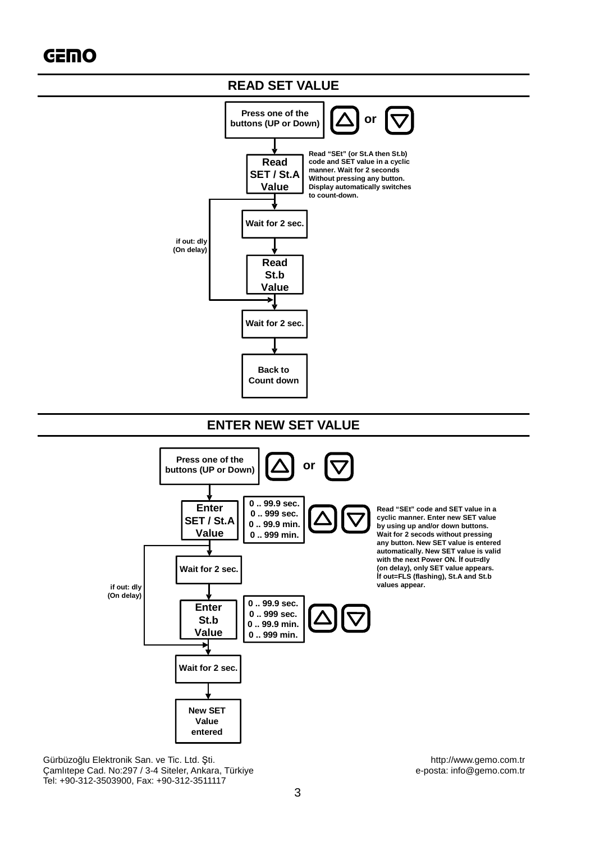

Gürbüzoğlu Elektronik San. ve Tic. Ltd. Şti.<br>Camlitepe Cad. No:297 / 3-4 Siteler, Ankara, Türkiye enter the subset of the serve of the serve of the Camlitepe Cad. No:297 / 3-4 Siteler, Ankara, Türkiye Çamlıtepe Cad. No:297 / 3-4 Siteler, Ankara, Türkiye Tel: +90-312-3503900, Fax: +90-312-3511117

**New SET Value entered**